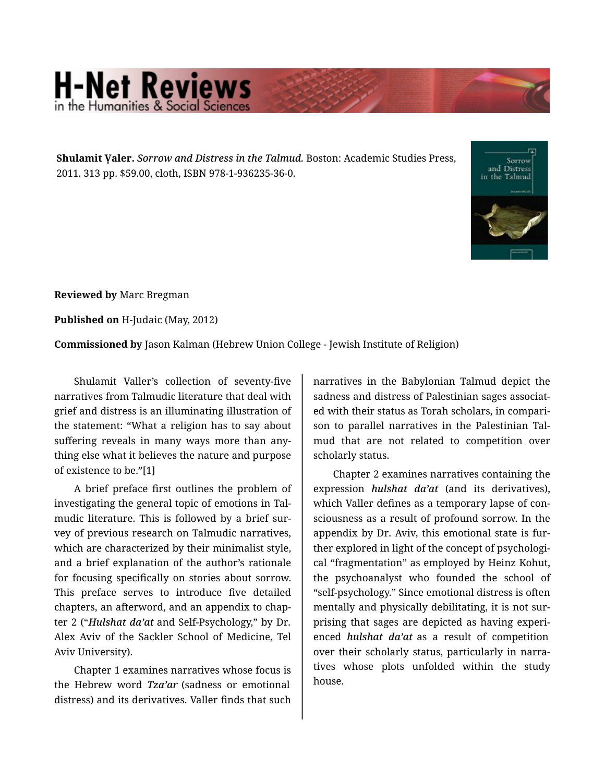## **H-Net Reviews**

**Shulamit Ṿaler.** *Sorrow and Distress in the Talmud.* Boston: Academic Studies Press, 2011. 313 pp. \$59.00, cloth, ISBN 978-1-936235-36-0.



**Reviewed by** Marc Bregman

**Published on** H-Judaic (May, 2012)

**Commissioned by** Jason Kalman (Hebrew Union College - Jewish Institute of Religion)

Shulamit Valler's collection of seventy-five narratives from Talmudic literature that deal with grief and distress is an illuminating illustration of the statement: "What a religion has to say about suffering reveals in many ways more than any‐ thing else what it believes the nature and purpose of existence to be."[1]

A brief preface first outlines the problem of investigating the general topic of emotions in Tal‐ mudic literature. This is followed by a brief sur‐ vey of previous research on Talmudic narratives, which are characterized by their minimalist style, and a brief explanation of the author's rationale for focusing specifically on stories about sorrow. This preface serves to introduce five detailed chapters, an afterword, and an appendix to chap‐ ter 2 ("*Hulshat da'at* and Self-Psychology," by Dr. Alex Aviv of the Sackler School of Medicine, Tel Aviv University).

Chapter 1 examines narratives whose focus is the Hebrew word *Tza'ar* (sadness or emotional distress) and its derivatives. Valler finds that such narratives in the Babylonian Talmud depict the sadness and distress of Palestinian sages associat‐ ed with their status as Torah scholars, in compari‐ son to parallel narratives in the Palestinian Tal‐ mud that are not related to competition over scholarly status.

Chapter 2 examines narratives containing the expression *hulshat da'at* (and its derivatives), which Valler defines as a temporary lapse of consciousness as a result of profound sorrow. In the appendix by Dr. Aviv, this emotional state is fur‐ ther explored in light of the concept of psychologi‐ cal "fragmentation" as employed by Heinz Kohut, the psychoanalyst who founded the school of "self-psychology." Since emotional distress is often mentally and physically debilitating, it is not sur‐ prising that sages are depicted as having experi‐ enced *hulshat da'at* as a result of competition over their scholarly status, particularly in narra‐ tives whose plots unfolded within the study house.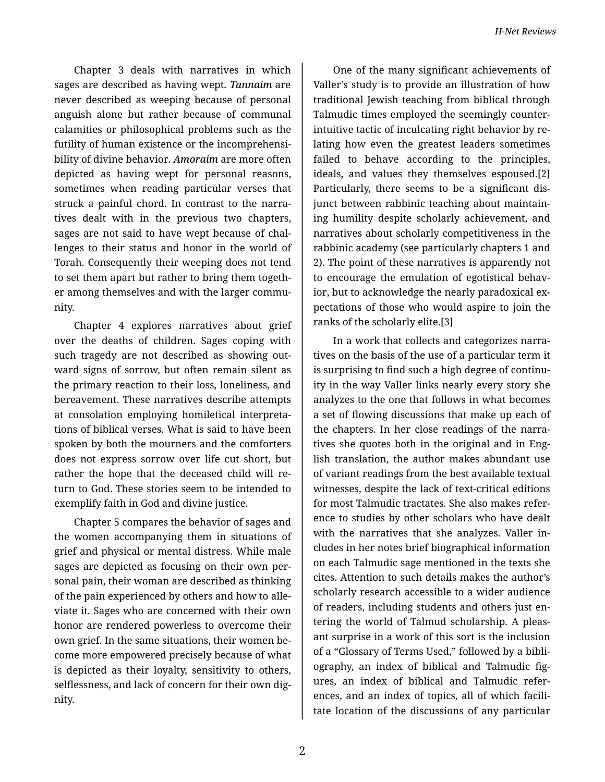Chapter 3 deals with narratives in which sages are described as having wept. *Tannaim* are never described as weeping because of personal anguish alone but rather because of communal calamities or philosophical problems such as the futility of human existence or the incomprehensi‐ bility of divine behavior. *Amoraim* are more often depicted as having wept for personal reasons, sometimes when reading particular verses that struck a painful chord. In contrast to the narra‐ tives dealt with in the previous two chapters, sages are not said to have wept because of chal‐ lenges to their status and honor in the world of Torah. Consequently their weeping does not tend to set them apart but rather to bring them togeth‐ er among themselves and with the larger commu‐ nity.

Chapter 4 explores narratives about grief over the deaths of children. Sages coping with such tragedy are not described as showing out‐ ward signs of sorrow, but often remain silent as the primary reaction to their loss, loneliness, and bereavement. These narratives describe attempts at consolation employing homiletical interpreta‐ tions of biblical verses. What is said to have been spoken by both the mourners and the comforters does not express sorrow over life cut short, but rather the hope that the deceased child will re‐ turn to God. These stories seem to be intended to exemplify faith in God and divine justice.

Chapter 5 compares the behavior of sages and the women accompanying them in situations of grief and physical or mental distress. While male sages are depicted as focusing on their own per‐ sonal pain, their woman are described as thinking of the pain experienced by others and how to alle‐ viate it. Sages who are concerned with their own honor are rendered powerless to overcome their own grief. In the same situations, their women be‐ come more empowered precisely because of what is depicted as their loyalty, sensitivity to others, selflessness, and lack of concern for their own dig‐ nity.

One of the many significant achievements of Valler's study is to provide an illustration of how traditional Jewish teaching from biblical through Talmudic times employed the seemingly counter‐ intuitive tactic of inculcating right behavior by re‐ lating how even the greatest leaders sometimes failed to behave according to the principles, ideals, and values they themselves espoused.[2] Particularly, there seems to be a significant dis‐ junct between rabbinic teaching about maintain‐ ing humility despite scholarly achievement, and narratives about scholarly competitiveness in the rabbinic academy (see particularly chapters 1 and 2). The point of these narratives is apparently not to encourage the emulation of egotistical behav‐ ior, but to acknowledge the nearly paradoxical ex‐ pectations of those who would aspire to join the ranks of the scholarly elite.[3]

In a work that collects and categorizes narra‐ tives on the basis of the use of a particular term it is surprising to find such a high degree of continu‐ ity in the way Valler links nearly every story she analyzes to the one that follows in what becomes a set of flowing discussions that make up each of the chapters. In her close readings of the narra‐ tives she quotes both in the original and in Eng‐ lish translation, the author makes abundant use of variant readings from the best available textual witnesses, despite the lack of text-critical editions for most Talmudic tractates. She also makes refer‐ ence to studies by other scholars who have dealt with the narratives that she analyzes. Valler in‐ cludes in her notes brief biographical information on each Talmudic sage mentioned in the texts she cites. Attention to such details makes the author's scholarly research accessible to a wider audience of readers, including students and others just en‐ tering the world of Talmud scholarship. A pleas‐ ant surprise in a work of this sort is the inclusion of a "Glossary of Terms Used," followed by a bibli‐ ography, an index of biblical and Talmudic fig‐ ures, an index of biblical and Talmudic refer‐ ences, and an index of topics, all of which facili‐ tate location of the discussions of any particular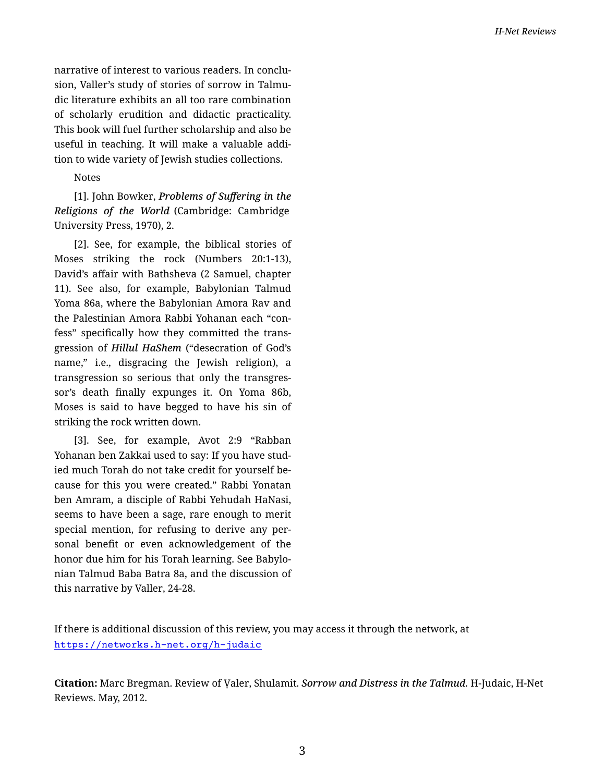narrative of interest to various readers. In conclu‐ sion, Valler's study of stories of sorrow in Talmu‐ dic literature exhibits an all too rare combination of scholarly erudition and didactic practicality. This book will fuel further scholarship and also be useful in teaching. It will make a valuable addi‐ tion to wide variety of Jewish studies collections.

## Notes

[1]. John Bowker, *Problems of Suffering in the Religions of the World* (Cambridge: Cambridge University Press, 1970), 2.

[2]. See, for example, the biblical stories of Moses striking the rock (Numbers 20:1-13), David's affair with Bathsheva (2 Samuel, chapter 11). See also, for example, Babylonian Talmud Yoma 86a, where the Babylonian Amora Rav and the Palestinian Amora Rabbi Yohanan each "con‐ fess" specifically how they committed the trans‐ gression of *Hillul HaShem* ("desecration of God's name," i.e., disgracing the Jewish religion), a transgression so serious that only the transgres‐ sor's death finally expunges it. On Yoma 86b, Moses is said to have begged to have his sin of striking the rock written down.

[3]. See, for example, Avot 2:9 "Rabban Yohanan ben Zakkai used to say: If you have stud‐ ied much Torah do not take credit for yourself be‐ cause for this you were created." Rabbi Yonatan ben Amram, a disciple of Rabbi Yehudah HaNasi, seems to have been a sage, rare enough to merit special mention, for refusing to derive any per‐ sonal benefit or even acknowledgement of the honor due him for his Torah learning. See Babylo‐ nian Talmud Baba Batra 8a, and the discussion of this narrative by Valler, 24-28.

If there is additional discussion of this review, you may access it through the network, at <https://networks.h-net.org/h-judaic>

**Citation:** Marc Bregman. Review of Ṿaler, Shulamit. *Sorrow and Distress in the Talmud.* H-Judaic, H-Net Reviews. May, 2012.